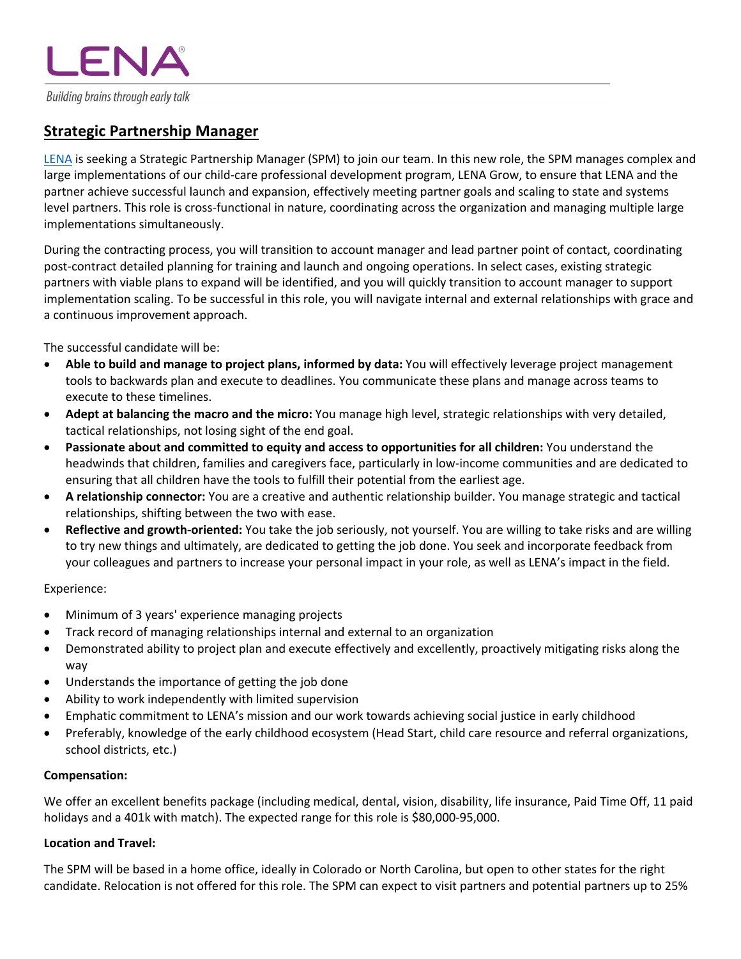Building brains through early talk

ENA

# **Strategic Partnership Manager**

LENA is seeking a Strategic Partnership Manager (SPM) to join our team. In this new role, the SPM manages complex and large implementations of our child-care professional development program, LENA Grow, to ensure that LENA and the partner achieve successful launch and expansion, effectively meeting partner goals and scaling to state and systems level partners. This role is cross-functional in nature, coordinating across the organization and managing multiple large implementations simultaneously.

During the contracting process, you will transition to account manager and lead partner point of contact, coordinating post-contract detailed planning for training and launch and ongoing operations. In select cases, existing strategic partners with viable plans to expand will be identified, and you will quickly transition to account manager to support implementation scaling. To be successful in this role, you will navigate internal and external relationships with grace and a continuous improvement approach.

The successful candidate will be:

- **Able to build and manage to project plans, informed by data:** You will effectively leverage project management tools to backwards plan and execute to deadlines. You communicate these plans and manage across teams to execute to these timelines.
- **Adept at balancing the macro and the micro:** You manage high level, strategic relationships with very detailed, tactical relationships, not losing sight of the end goal.
- **Passionate about and committed to equity and access to opportunities for all children:** You understand the headwinds that children, families and caregivers face, particularly in low-income communities and are dedicated to ensuring that all children have the tools to fulfill their potential from the earliest age.
- **A relationship connector:** You are a creative and authentic relationship builder. You manage strategic and tactical relationships, shifting between the two with ease.
- **Reflective and growth-oriented:** You take the job seriously, not yourself. You are willing to take risks and are willing to try new things and ultimately, are dedicated to getting the job done. You seek and incorporate feedback from your colleagues and partners to increase your personal impact in your role, as well as LENA's impact in the field.

# Experience:

- Minimum of 3 years' experience managing projects
- Track record of managing relationships internal and external to an organization
- Demonstrated ability to project plan and execute effectively and excellently, proactively mitigating risks along the way
- Understands the importance of getting the job done
- Ability to work independently with limited supervision
- Emphatic commitment to LENA's mission and our work towards achieving social justice in early childhood
- Preferably, knowledge of the early childhood ecosystem (Head Start, child care resource and referral organizations, school districts, etc.)

#### **Compensation:**

We offer an excellent benefits package (including medical, dental, vision, disability, life insurance, Paid Time Off, 11 paid holidays and a 401k with match). The expected range for this role is \$80,000-95,000.

#### **Location and Travel:**

The SPM will be based in a home office, ideally in Colorado or North Carolina, but open to other states for the right candidate. Relocation is not offered for this role. The SPM can expect to visit partners and potential partners up to 25%